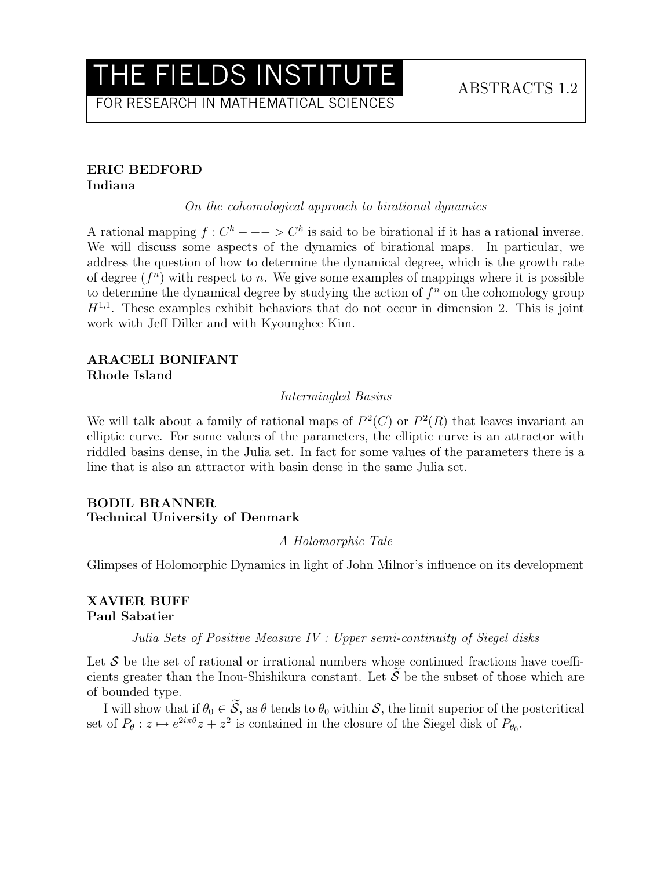FOR RESEARCH IN MATHEMATICAL SCIENCES

#### ERIC BEDFORD Indiana

On the cohomological approach to birational dynamics

A rational mapping  $f: C^k --- \rightarrow C^k$  is said to be birational if it has a rational inverse. We will discuss some aspects of the dynamics of birational maps. In particular, we address the question of how to determine the dynamical degree, which is the growth rate of degree  $(f^n)$  with respect to n. We give some examples of mappings where it is possible to determine the dynamical degree by studying the action of  $f<sup>n</sup>$  on the cohomology group  $H^{1,1}$ . These examples exhibit behaviors that do not occur in dimension 2. This is joint work with Jeff Diller and with Kyounghee Kim.

## ARACELI BONIFANT Rhode Island

#### Intermingled Basins

We will talk about a family of rational maps of  $P^2(C)$  or  $P^2(R)$  that leaves invariant an elliptic curve. For some values of the parameters, the elliptic curve is an attractor with riddled basins dense, in the Julia set. In fact for some values of the parameters there is a line that is also an attractor with basin dense in the same Julia set.

#### BODIL BRANNER Technical University of Denmark

#### A Holomorphic Tale

Glimpses of Holomorphic Dynamics in light of John Milnor's influence on its development

#### XAVIER BUFF Paul Sabatier

Julia Sets of Positive Measure IV : Upper semi-continuity of Siegel disks

Let  $S$  be the set of rational or irrational numbers whose continued fractions have coefficients greater than the Inou-Shishikura constant. Let  $\tilde{S}$  be the subset of those which are of bounded type.

I will show that if  $\theta_0 \in \tilde{S}$ , as  $\theta$  tends to  $\theta_0$  within S, the limit superior of the postcritical set of  $P_{\theta}: z \mapsto e^{2i\pi \theta}z + z^2$  is contained in the closure of the Siegel disk of  $P_{\theta_0}$ .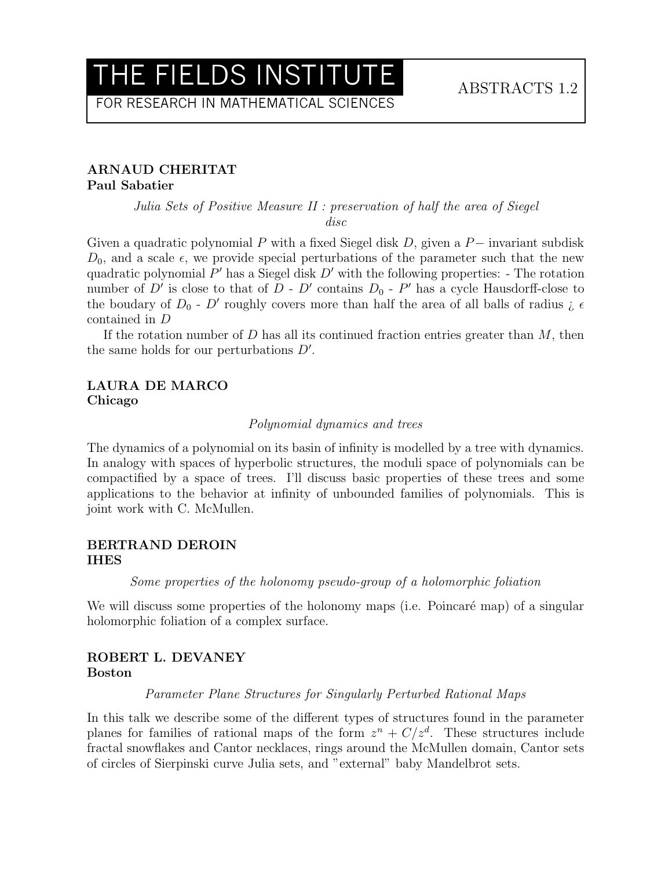FOR RESEARCH IN MATHEMATICAL SCIENCES

## ARNAUD CHERITAT Paul Sabatier

## Julia Sets of Positive Measure II : preservation of half the area of Siegel disc

Given a quadratic polynomial P with a fixed Siegel disk D, given a  $P-$  invariant subdisk  $D_0$ , and a scale  $\epsilon$ , we provide special perturbations of the parameter such that the new quadratic polynomial  $P'$  has a Siegel disk  $D'$  with the following properties: - The rotation number of D' is close to that of  $D - D'$  contains  $D_0 - P'$  has a cycle Hausdorff-close to the boudary of  $D_0$  - D' roughly covers more than half the area of all balls of radius  $\zeta \in$ contained in D

If the rotation number of  $D$  has all its continued fraction entries greater than  $M$ , then the same holds for our perturbations  $D'$ .

### LAURA DE MARCO Chicago

#### Polynomial dynamics and trees

The dynamics of a polynomial on its basin of infinity is modelled by a tree with dynamics. In analogy with spaces of hyperbolic structures, the moduli space of polynomials can be compactified by a space of trees. I'll discuss basic properties of these trees and some applications to the behavior at infinity of unbounded families of polynomials. This is joint work with C. McMullen.

#### BERTRAND DEROIN IHES

Some properties of the holonomy pseudo-group of a holomorphic foliation

We will discuss some properties of the holonomy maps (i.e. Poincaré map) of a singular holomorphic foliation of a complex surface.

## ROBERT L. DEVANEY Boston

#### Parameter Plane Structures for Singularly Perturbed Rational Maps

In this talk we describe some of the different types of structures found in the parameter planes for families of rational maps of the form  $z^n + C/z^d$ . These structures include fractal snowflakes and Cantor necklaces, rings around the McMullen domain, Cantor sets of circles of Sierpinski curve Julia sets, and "external" baby Mandelbrot sets.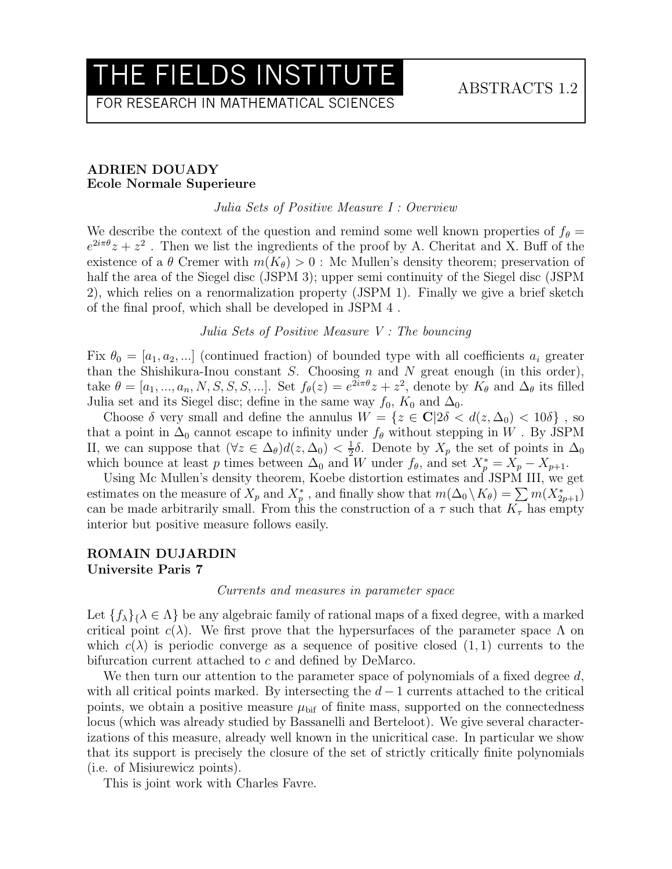FOR RESEARCH IN MATHEMATICAL SCIENCES

#### ADRIEN DOUADY Ecole Normale Superieure

Julia Sets of Positive Measure I : Overview

We describe the context of the question and remind some well known properties of  $f_{\theta} =$  $e^{2i\pi\theta}z + z^2$ . Then we list the ingredients of the proof by A. Cheritat and X. Buff of the existence of a  $\theta$  Cremer with  $m(K_{\theta}) > 0$ : Mc Mullen's density theorem; preservation of half the area of the Siegel disc (JSPM 3); upper semi continuity of the Siegel disc (JSPM 2), which relies on a renormalization property (JSPM 1). Finally we give a brief sketch of the final proof, which shall be developed in JSPM 4 .

Julia Sets of Positive Measure V : The bouncing

Fix  $\theta_0 = [a_1, a_2, \dots]$  (continued fraction) of bounded type with all coefficients  $a_i$  greater than the Shishikura-Inou constant  $S$ . Choosing  $n$  and  $N$  great enough (in this order), take  $\theta = [a_1, ..., a_n, N, S, S, S, ...]$ . Set  $f_{\theta}(z) = e^{2i\pi\theta}z + z^2$ , denote by  $K_{\theta}$  and  $\Delta_{\theta}$  its filled Julia set and its Siegel disc; define in the same way  $f_0$ ,  $K_0$  and  $\Delta_0$ .

Choose  $\delta$  very small and define the annulus  $W = \{z \in \mathbb{C} | 2\delta < d(z, \Delta_0) < 10\delta \},\$ that a point in  $\Delta_0$  cannot escape to infinity under  $f_\theta$  without stepping in W. By JSPM II, we can suppose that  $(\forall z \in \Delta_{\theta})d(z, \Delta_0) < \frac{1}{2}$  $\frac{1}{2}\delta$ . Denote by  $X_p$  the set of points in  $\Delta_0$ which bounce at least p times between  $\Delta_0$  and W under  $f_\theta$ , and set  $X_p^* = X_p - X_{p+1}$ .

Using Mc Mullen's density theorem, Koebe distortion estimates and JSPM III, we get estimates on the measure of  $X_p$  and  $X_p^*$ , and finally show that  $m(\Delta_0 \setminus K_\theta) = \sum m(X_{2p+1}^*)$ can be made arbitrarily small. From this the construction of a  $\tau$  such that  $K_{\tau}$  has empty interior but positive measure follows easily.

#### ROMAIN DUJARDIN Universite Paris 7

#### Currents and measures in parameter space

Let  $\{f_{\lambda}\}_{\lambda} \in \Lambda$  be any algebraic family of rational maps of a fixed degree, with a marked critical point  $c(\lambda)$ . We first prove that the hypersurfaces of the parameter space  $\Lambda$  on which  $c(\lambda)$  is periodic converge as a sequence of positive closed  $(1, 1)$  currents to the bifurcation current attached to c and defined by DeMarco.

We then turn our attention to the parameter space of polynomials of a fixed degree  $d$ , with all critical points marked. By intersecting the  $d-1$  currents attached to the critical points, we obtain a positive measure  $\mu_{\text{bif}}$  of finite mass, supported on the connectedness locus (which was already studied by Bassanelli and Berteloot). We give several characterizations of this measure, already well known in the unicritical case. In particular we show that its support is precisely the closure of the set of strictly critically finite polynomials (i.e. of Misiurewicz points).

This is joint work with Charles Favre.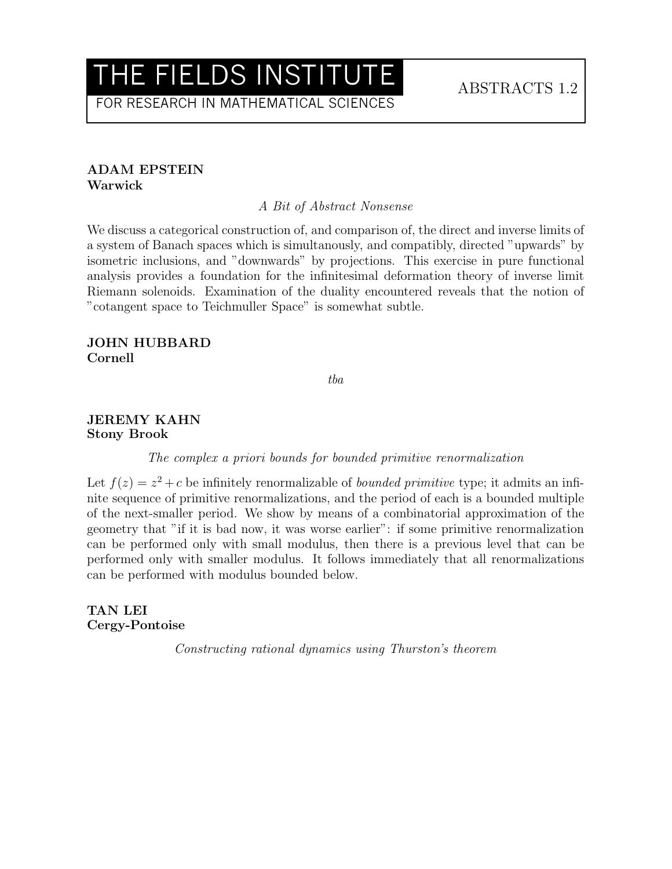FOR RESEARCH IN MATHEMATICAL SCIENCES

### ADAM EPSTEIN Warwick

A Bit of Abstract Nonsense

We discuss a categorical construction of, and comparison of, the direct and inverse limits of a system of Banach spaces which is simultanously, and compatibly, directed "upwards" by isometric inclusions, and "downwards" by projections. This exercise in pure functional analysis provides a foundation for the infinitesimal deformation theory of inverse limit Riemann solenoids. Examination of the duality encountered reveals that the notion of "cotangent space to Teichmuller Space" is somewhat subtle.

## JOHN HUBBARD Cornell

tba

### JEREMY KAHN Stony Brook

The complex a priori bounds for bounded primitive renormalization

Let  $f(z) = z^2 + c$  be infinitely renormalizable of *bounded primitive* type; it admits an infinite sequence of primitive renormalizations, and the period of each is a bounded multiple of the next-smaller period. We show by means of a combinatorial approximation of the geometry that "if it is bad now, it was worse earlier": if some primitive renormalization can be performed only with small modulus, then there is a previous level that can be performed only with smaller modulus. It follows immediately that all renormalizations can be performed with modulus bounded below.

TAN LEI Cergy-Pontoise

Constructing rational dynamics using Thurston's theorem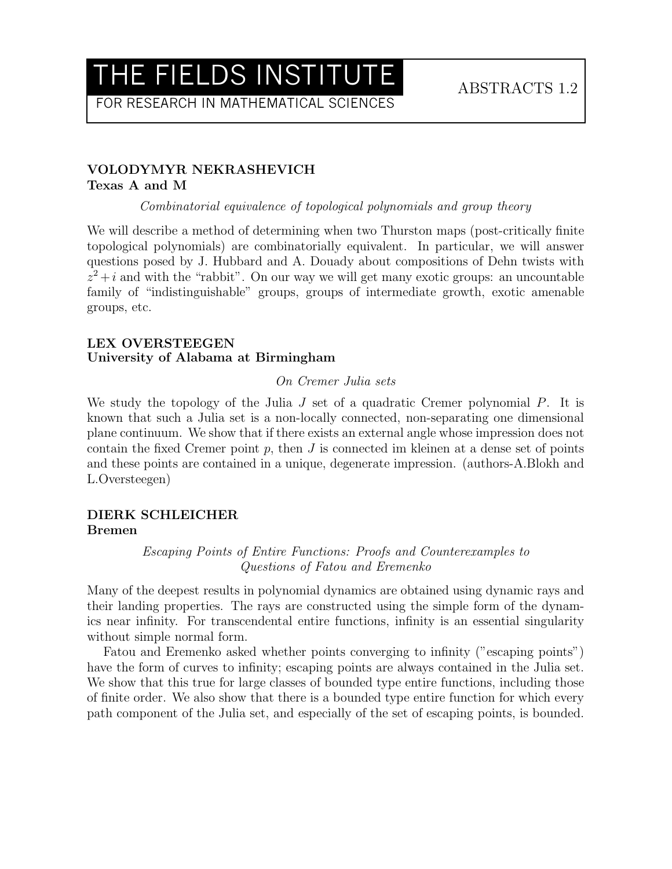FOR RESEARCH IN MATHEMATICAL SCIENCES

## VOLODYMYR NEKRASHEVICH Texas A and M

Combinatorial equivalence of topological polynomials and group theory

We will describe a method of determining when two Thurston maps (post-critically finite topological polynomials) are combinatorially equivalent. In particular, we will answer questions posed by J. Hubbard and A. Douady about compositions of Dehn twists with  $z^2 + i$  and with the "rabbit". On our way we will get many exotic groups: an uncountable family of "indistinguishable" groups, groups of intermediate growth, exotic amenable groups, etc.

### LEX OVERSTEEGEN University of Alabama at Birmingham

### On Cremer Julia sets

We study the topology of the Julia  $J$  set of a quadratic Cremer polynomial  $P$ . It is known that such a Julia set is a non-locally connected, non-separating one dimensional plane continuum. We show that if there exists an external angle whose impression does not contain the fixed Cremer point  $p$ , then  $J$  is connected im kleinen at a dense set of points and these points are contained in a unique, degenerate impression. (authors-A.Blokh and L.Oversteegen)

## DIERK SCHLEICHER Bremen

Escaping Points of Entire Functions: Proofs and Counterexamples to Questions of Fatou and Eremenko

Many of the deepest results in polynomial dynamics are obtained using dynamic rays and their landing properties. The rays are constructed using the simple form of the dynamics near infinity. For transcendental entire functions, infinity is an essential singularity without simple normal form.

Fatou and Eremenko asked whether points converging to infinity ("escaping points") have the form of curves to infinity; escaping points are always contained in the Julia set. We show that this true for large classes of bounded type entire functions, including those of finite order. We also show that there is a bounded type entire function for which every path component of the Julia set, and especially of the set of escaping points, is bounded.